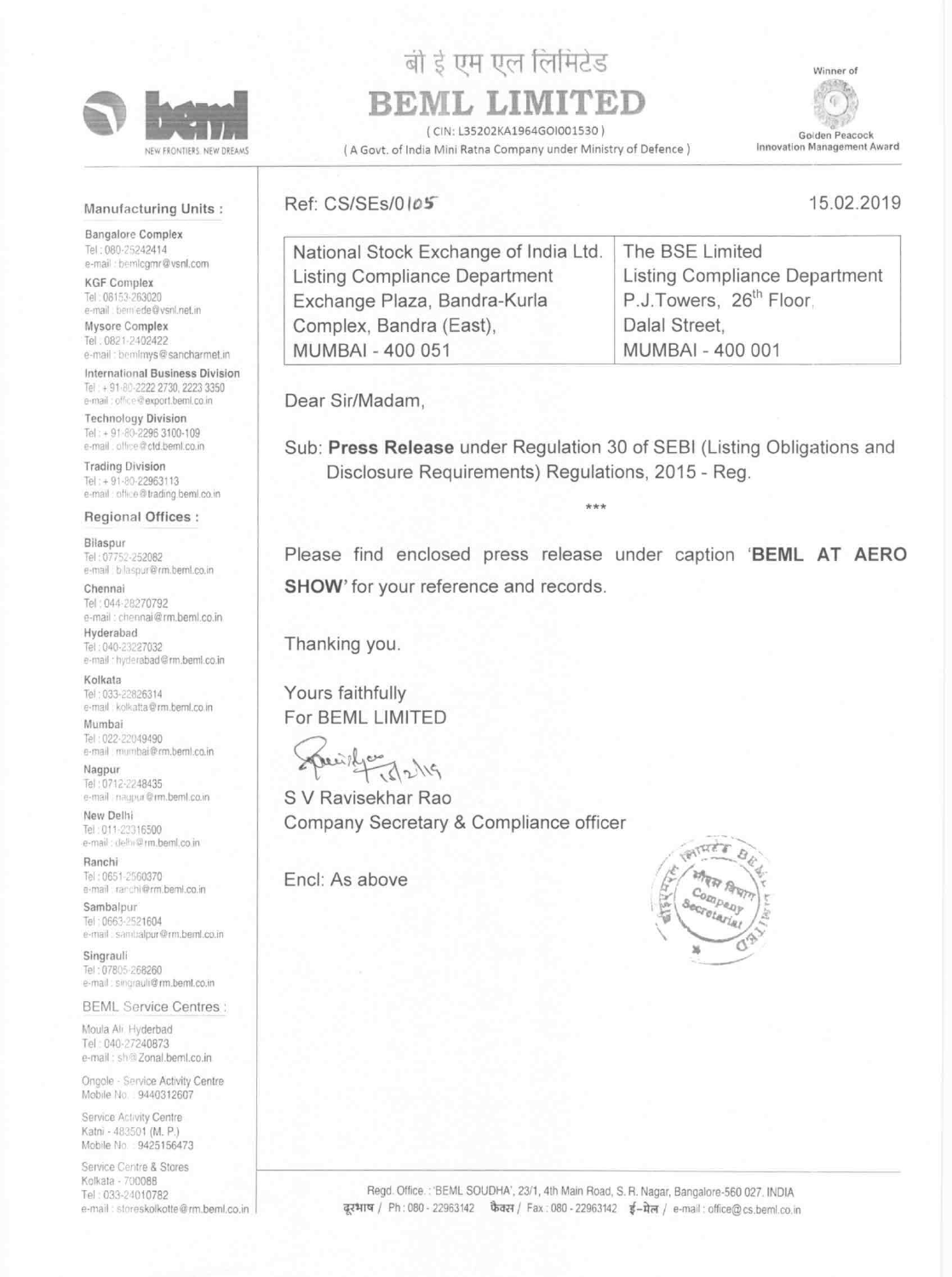

NEW FRONTIERS. NEW DREAMS

# बी ई एम एल लिमिटेड

# BEML LIMITED

(CIN: L35202KA1964GOI001530)

(A Govt. of India Mini Ratna Company under Ministry of Defence)

Winner of



Golden Peacock Innovation Management Award

15.02.2019

## Manufacturing Units:

**Bangalore Complex** Tel: 080-25242414 e-mail: bemlogmr@vsnl.com

**KGF Complex** Tel: 08153-263020 e-mail : bemiede@vsnl.net.in

Mysore Complex Tel. 0821-2402422 e-mail: bemimys@sancharmet.in

International Business Division Tel: + 91-80-2222 2730, 2223 3350 e-mail: office@export.beml.co.in

**Technology Division** Tel: + 91-80-2296 3100-109 e-mail: othee@ctd.beml.co.in

**Trading Division** Tel: + 91-80-22963113 e-mail: office@trading.beml.co.in

# Ref: CS/SEs/0105

The BSE Limited National Stock Exchange of India Ltd. Listing Compliance Department Listing Compliance Department P.J.Towers, 26<sup>th</sup> Floor. Exchange Plaza, Bandra-Kurla Complex, Bandra (East), Dalal Street, **MUMBAI - 400 051 MUMBAI - 400 001** 

Dear Sir/Madam,

Sub: Press Release under Regulation 30 of SEBI (Listing Obligations and Disclosure Requirements) Regulations, 2015 - Reg.

### Regional Offices :

#### Bilaspur

Tel: 07752-252082 e-mail blaspur@rm.beml.co.in

#### Chennai

Tel: 044-28270792 e-mail: chennai@rm.beml.co.in Hyderabad Tel: 040-23227032 e-mail : hyderabad@rm.beml.co.in

#### Kolkata

Tel: 033-22826314 e-mail kolkatta@rm.beml.co.in

#### Mumbai

Tel: 022-22049490 e-mail mumbai@rm.beml.co.in

### Nagpur

Tel: 0712-2248435 e-mail nagpur@rm.beml.co.in

New Delhi Tel: 011-23316500 e-mail: delhi@rm.beml.co.in.

#### Ranchi

Tel: 0651-2560370 e-mail: ranchi@rm.beml.co.in

#### Sambalpur

Tel: 0663-2521604 e-mail sambalpur@rm.beml.co.in

#### Singrauli

Tel: 07805-268260 e-mail: singrauli@rm.beml.co.in

**BEML Service Centres:** 

Please find enclosed press release under caption 'BEML AT AERO **SHOW'** for your reference and records.

Thanking you.

Yours faithfully For BEML LIMITED

S V Ravisekhar Rao Company Secretary & Compliance officer

Encl: As above



Moula Ali. Hyderbad Tel: 040-27240873 e-mail: sh@Zonal.beml.co.in

Ongole - Service Activity Centre Mobile No. 9440312607

Service Activity Centre Katni - 483501 (M. P.) Mobile No. 9425156473

Service Centre & Stores Kolkata - 700088 Tel: 033-24010782 e-mail: storeskolkotte@rm.beml.co.in

Regd. Office.: 'BEML SOUDHA', 23/1, 4th Main Road, S. R. Nagar, Bangalore-560 027. INDIA दूरभाष / Ph: 080 - 22963142 फैक्स / Fax: 080 - 22963142 ई-मेल / e-mail: office@cs.beml.co.in